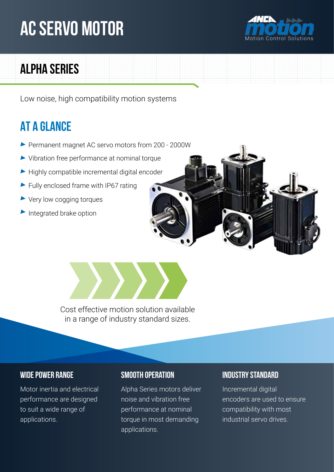# **AC Servo Motor**



## **Alpha Series**

Low noise, high compatibility motion systems

## **At a glance**

- Permanent magnet AC servo motors from 200 2000W
- Vibration free performance at nominal torque
- $\blacktriangleright$  Highly compatible incremental digital encoder
- Fully enclosed frame with IP67 rating
- ▶ Very low cogging torques
- Integrated brake option



Cost effective motion solution available in a range of industry standard sizes.

Motor inertia and electrical performance are designed to suit a wide range of applications.

Alpha Series motors deliver noise and vibration free performance at nominal torque in most demanding applications.

## **Wide Power Range Smooth Operation Industry Standard**

Incremental digital encoders are used to ensure compatibility with most industrial servo drives.